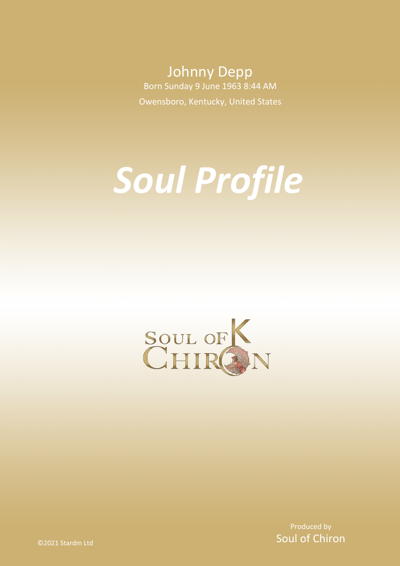Johnny Depp Born Sunday 9 June 1963 8:44 AM Owensboro, Kentucky, United States

# *Soul Profile*



Produced by Soul of Chiron

©2021 Stardm Ltd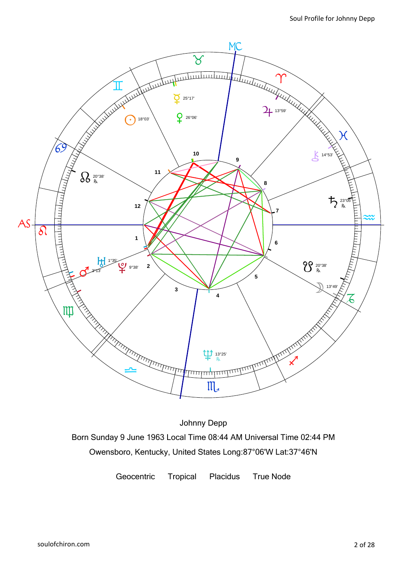

Johnny Depp Born Sunday 9 June 1963 Local Time 08:44 AM Universal Time 02:44 PM Owensboro, Kentucky, United States Long:87°06'W Lat:37°46'N

Geocentric Tropical Placidus True Node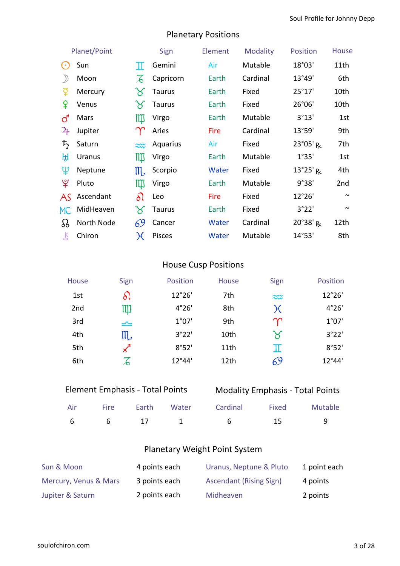# Planetary Positions

|                | Planet/Point  |                       | Sign          | Element | <b>Modality</b> | <b>Position</b>              | <b>House</b> |
|----------------|---------------|-----------------------|---------------|---------|-----------------|------------------------------|--------------|
| $(\cdot)$      | Sun           | Π                     | Gemini        | Air     | Mutable         | 18°03'                       | 11th         |
|                | Moon          |                       | Capricorn     | Earth   | Cardinal        | 13°49'                       | 6th          |
| ប្             | Mercury       | Y                     | <b>Taurus</b> | Earth   | Fixed           | 25°17'                       | 10th         |
| ¥              | Venus         | Y                     | <b>Taurus</b> | Earth   | Fixed           | 26°06'                       | 10th         |
| <u>්</u>       | Mars          | $\mathbb{I}$          | Virgo         | Earth   | Mutable         | 3°13'                        | 1st          |
| $\overline{4}$ | Jupiter       |                       | Aries         | Fire    | Cardinal        | 13°59'                       | 9th          |
| ち              | Saturn        | $\approx$             | Aquarius      | Air     | Fixed           | $23^{\circ}05'$ <sub>R</sub> | 7th          |
| ਮ੍ਰਿ           | <b>Uranus</b> | Щ                     | Virgo         | Earth   | Mutable         | 1°35'                        | 1st          |
| Ψ              | Neptune       | $\mathfrak{m}$        | Scorpio       | Water   | Fixed           | $13^{\circ}25'$ <sub>R</sub> | 4th          |
| ೪              | Pluto         | Щ                     | Virgo         | Earth   | Mutable         | 9°38'                        | 2nd          |
| AS             | Ascendant     | $\delta\Omega$        | Leo           | Fire    | Fixed           | 12°26'                       | $\sim$       |
| MC             | MidHeaven     | $\boldsymbol{\times}$ | Taurus        | Earth   | Fixed           | 3°22'                        | $\sim$       |
| $\Omega$       | North Node    | 69                    | Cancer        | Water   | Cardinal        | 20°38' R                     | 12th         |
| Ŗ              | Chiron        | $\chi$                | Pisces        | Water   | Mutable         | 14°53'                       | 8th          |

# House Cusp Positions

| <b>House</b>    | Sign                  | <b>Position</b> | <b>House</b>     | Sign                  | <b>Position</b> |
|-----------------|-----------------------|-----------------|------------------|-----------------------|-----------------|
| 1st             | $\delta$              | 12°26'          | 7th              | $\widetilde{\sim}$    | 12°26'          |
| 2 <sub>nd</sub> | Щ                     | 4°26'           | 8th              | $\chi$                | 4°26'           |
| 3rd             | $\triangle$           | 1°07'           | 9th              | $\gamma$              | 1°07'           |
| 4th             | $\mathfrak{m}_{\ast}$ | 3°22'           | 10th             | $\boldsymbol{\times}$ | 3°22'           |
| 5th             |                       | 8°52'           | 11 <sub>th</sub> | π                     | 8°52'           |
| 6th             | T                     | 12°44'          | 12th             | 69                    | 12°44'          |

# Element Emphasis - Total Points

# Modality Emphasis - Total Points

|  |  | Air Fire Earth Water Cardinal Fixed Mutable |  |
|--|--|---------------------------------------------|--|
|  |  | 6 6 17 1 6 15 9                             |  |

# Planetary Weight Point System

| Sun & Moon            | 4 points each | Uranus, Neptune & Pluto        | 1 point each |
|-----------------------|---------------|--------------------------------|--------------|
| Mercury, Venus & Mars | 3 points each | <b>Ascendant (Rising Sign)</b> | 4 points     |
| Jupiter & Saturn      | 2 points each | Midheaven                      | 2 points     |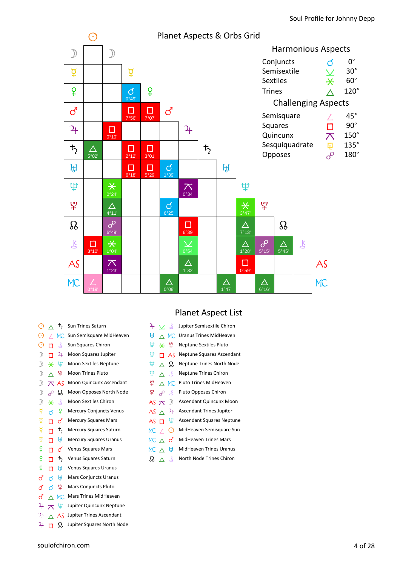

| O             |   | 芍             | Sun Trines Saturn              |
|---------------|---|---------------|--------------------------------|
| C             |   | MC.           | Sun Semisquare MidHeaven       |
| $_{\odot}$    | п | 飞             | Sun Squares Chiron             |
| $\big)$       | п | 4             | Moon Squares Jupiter           |
| $\mathcal{D}$ | ⋇ | Ψ             | <b>Moon Sextiles Neptune</b>   |
| $\mathcal{D}$ | Λ | Ψ             | <b>Moon Trines Pluto</b>       |
| $\mathcal{D}$ | ᄌ | AS            | Moon Quincunx Ascendant        |
| $\mathcal{D}$ | ൙ | Ω             | Moon Opposes North Node        |
| $\mathcal{D}$ | ⋇ | 飞             | <b>Moon Sextiles Chiron</b>    |
| ₽             | ් | ¥             | <b>Mercury Conjuncts Venus</b> |
| ₽             | п | <u>්</u>      | <b>Mercury Squares Mars</b>    |
| ₽             | п | ち             | <b>Mercury Squares Saturn</b>  |
| ₫             | п | ਸ਼੍ਰਮ         | <b>Mercury Squares Uranus</b>  |
| ¥             | п | ൪             | <b>Venus Squares Mars</b>      |
| ¥             | п | $\bm{\tau}_2$ | Venus Squares Saturn           |
| ¥             | п | ₩             | <b>Venus Squares Uranus</b>    |
| ්             | đ | ਸ਼੍ਰਮ         | <b>Mars Conjuncts Uranus</b>   |
| ්             | ර | Ψ             | Mars Conjuncts Pluto           |
| ්             |   | MC.           | <b>Mars Trines MidHeaven</b>   |
| 4             | ᅎ | Ψ             | Jupiter Quincunx Neptune       |
| 4             |   | AS            | Jupiter Trines Ascendant       |
| 4             | п | ℒ             | Jupiter Squares North Node     |

| 4           | ∨ ≴   |                   | Jupiter Semisextile Chiron       |
|-------------|-------|-------------------|----------------------------------|
| Щ           |       | $\triangle$ MC    | Uranus Trines MidHeaven          |
| Ψ           | ิ ¥ ¥ |                   | <b>Neptune Sextiles Pluto</b>    |
| Ψ           | п     | - AS              | Neptune Squares Ascendant        |
| Ψ           |       | $\wedge$ $\Omega$ | Neptune Trines North Node        |
| Ψ           | ∧     | ∴k                | <b>Neptune Trines Chiron</b>     |
| ¥           |       | $\wedge$ MC       | Pluto Trines MidHeaven           |
| ¥           | ൙     | - K               | Pluto Opposes Chiron             |
| AS $\pi$    |       | $\mathcal{D}$     | <b>Ascendant Quincunx Moon</b>   |
| AS $\land$  |       | 4                 | <b>Ascendant Trines Jupiter</b>  |
| AS H        |       | Ψ                 | <b>Ascendant Squares Neptune</b> |
| MC $\angle$ |       | $(\cdot)$         | MidHeaven Semisquare Sun         |
| MC A        |       | ර                 | <b>MidHeaven Trines Mars</b>     |
| MC          |       | Н                 | <b>MidHeaven Trines Uranus</b>   |
|             |       |                   |                                  |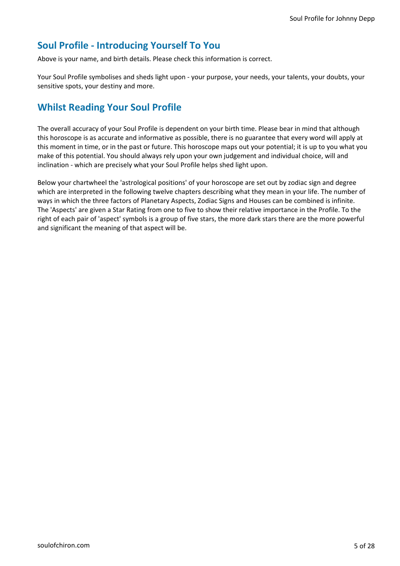# **Soul Profile - Introducing Yourself To You**

Above is your name, and birth details. Please check this information is correct.

Your Soul Profile symbolises and sheds light upon - your purpose, your needs, your talents, your doubts, your sensitive spots, your destiny and more.

# **Whilst Reading Your Soul Profile**

The overall accuracy of your Soul Profile is dependent on your birth time. Please bear in mind that although this horoscope is as accurate and informative as possible, there is no guarantee that every word will apply at this moment in time, or in the past or future. This horoscope maps out your potential; it is up to you what you make of this potential. You should always rely upon your own judgement and individual choice, will and inclination - which are precisely what your Soul Profile helps shed light upon.

Below your chartwheel the 'astrological positions' of your horoscope are set out by zodiac sign and degree which are interpreted in the following twelve chapters describing what they mean in your life. The number of ways in which the three factors of Planetary Aspects, Zodiac Signs and Houses can be combined is infinite. The 'Aspects' are given a Star Rating from one to five to show their relative importance in the Profile. To the right of each pair of 'aspect' symbols is a group of five stars, the more dark stars there are the more powerful and significant the meaning of that aspect will be.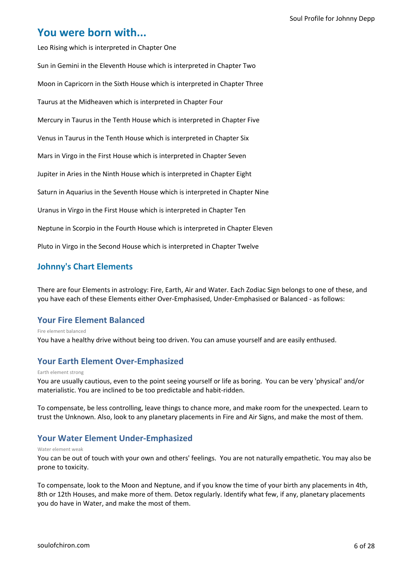# **You were born with...**

Leo Rising which is interpreted in Chapter One Sun in Gemini in the Eleventh House which is interpreted in Chapter Two Moon in Capricorn in the Sixth House which is interpreted in Chapter Three Taurus at the Midheaven which is interpreted in Chapter Four Mercury in Taurus in the Tenth House which is interpreted in Chapter Five Venus in Taurus in the Tenth House which is interpreted in Chapter Six Mars in Virgo in the First House which is interpreted in Chapter Seven Jupiter in Aries in the Ninth House which is interpreted in Chapter Eight Saturn in Aquarius in the Seventh House which is interpreted in Chapter Nine Uranus in Virgo in the First House which is interpreted in Chapter Ten Neptune in Scorpio in the Fourth House which is interpreted in Chapter Eleven Pluto in Virgo in the Second House which is interpreted in Chapter Twelve

# **Johnny's Chart Elements**

There are four Elements in astrology: Fire, Earth, Air and Water. Each Zodiac Sign belongs to one of these, and you have each of these Elements either Over-Emphasised, Under-Emphasised or Balanced - as follows:

# **Your Fire Element Balanced**

You have a healthy drive without being too driven. You can amuse yourself and are easily enthused. Fire element balanced

# **Your Earth Element Over-Emphasized**

### Earth element strong

You are usually cautious, even to the point seeing yourself or life as boring. You can be very 'physical' and/or materialistic. You are inclined to be too predictable and habit-ridden.

To compensate, be less controlling, leave things to chance more, and make room for the unexpected. Learn to trust the Unknown. Also, look to any planetary placements in Fire and Air Signs, and make the most of them.

# **Your Water Element Under-Emphasized**

### Water element weak

You can be out of touch with your own and others' feelings. You are not naturally empathetic. You may also be prone to toxicity.

To compensate, look to the Moon and Neptune, and if you know the time of your birth any placements in 4th, 8th or 12th Houses, and make more of them. Detox regularly. Identify what few, if any, planetary placements you do have in Water, and make the most of them.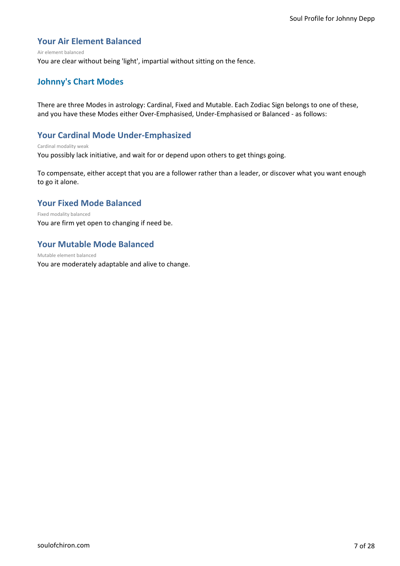# **Your Air Element Balanced**

#### Air element balanced

You are clear without being 'light', impartial without sitting on the fence.

# **Johnny's Chart Modes**

There are three Modes in astrology: Cardinal, Fixed and Mutable. Each Zodiac Sign belongs to one of these, and you have these Modes either Over-Emphasised, Under-Emphasised or Balanced - as follows:

# **Your Cardinal Mode Under-Emphasized**

#### Cardinal modality weak

You possibly lack initiative, and wait for or depend upon others to get things going.

To compensate, either accept that you are a follower rather than a leader, or discover what you want enough to go it alone.

# **Your Fixed Mode Balanced**

### Fixed modality balanced

You are firm yet open to changing if need be.

# **Your Mutable Mode Balanced**

You are moderately adaptable and alive to change. Mutable element balanced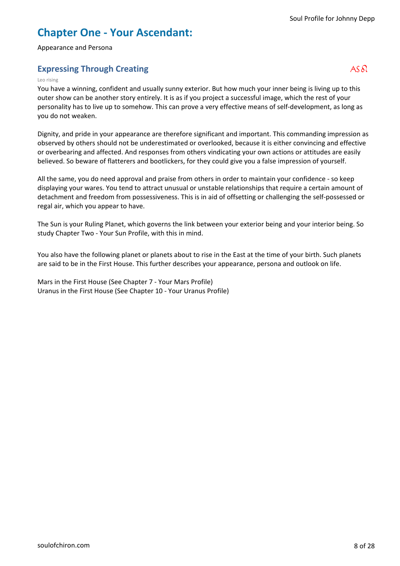# **Chapter One - Your Ascendant:**

Appearance and Persona

# **Expressing Through Creating**   $AS \delta S$

### Leo rising

You have a winning, confident and usually sunny exterior. But how much your inner being is living up to this outer show can be another story entirely. It is as if you project a successful image, which the rest of your personality has to live up to somehow. This can prove a very effective means of self-development, as long as you do not weaken.

Dignity, and pride in your appearance are therefore significant and important. This commanding impression as observed by others should not be underestimated or overlooked, because it is either convincing and effective or overbearing and affected. And responses from others vindicating your own actions or attitudes are easily believed. So beware of flatterers and bootlickers, for they could give you a false impression of yourself.

All the same, you do need approval and praise from others in order to maintain your confidence - so keep displaying your wares. You tend to attract unusual or unstable relationships that require a certain amount of detachment and freedom from possessiveness. This is in aid of offsetting or challenging the self-possessed or regal air, which you appear to have.

The Sun is your Ruling Planet, which governs the link between your exterior being and your interior being. So study Chapter Two - Your Sun Profile, with this in mind.

You also have the following planet or planets about to rise in the East at the time of your birth. Such planets are said to be in the First House. This further describes your appearance, persona and outlook on life.

Mars in the First House (See Chapter 7 - Your Mars Profile) Uranus in the First House (See Chapter 10 - Your Uranus Profile)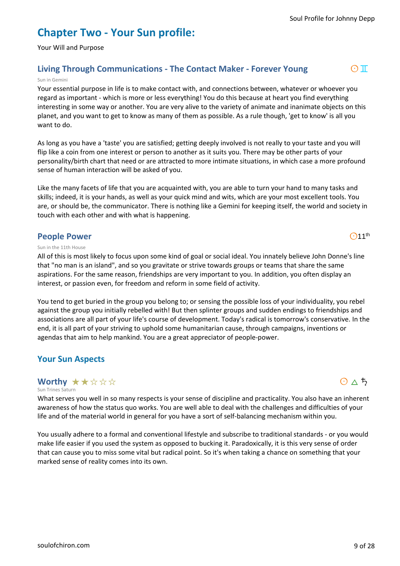# **Chapter Two - Your Sun profile:**

Your Will and Purpose

# **Living Through Communications - The Contact Maker - Forever Young** a3

### Sun in Gemini

Your essential purpose in life is to make contact with, and connections between, whatever or whoever you regard as important - which is more or less everything! You do this because at heart you find everything interesting in some way or another. You are very alive to the variety of animate and inanimate objects on this planet, and you want to get to know as many of them as possible. As a rule though, 'get to know' is all you want to do.

As long as you have a 'taste' you are satisfied; getting deeply involved is not really to your taste and you will flip like a coin from one interest or person to another as it suits you. There may be other parts of your personality/birth chart that need or are attracted to more intimate situations, in which case a more profound sense of human interaction will be asked of you.

Like the many facets of life that you are acquainted with, you are able to turn your hand to many tasks and skills; indeed, it is your hands, as well as your quick mind and wits, which are your most excellent tools. You are, or should be, the communicator. There is nothing like a Gemini for keeping itself, the world and society in touch with each other and with what is happening.

### **People Power**

### Sun in the 11th House

All of this is most likely to focus upon some kind of goal or social ideal. You innately believe John Donne's line that "no man is an island", and so you gravitate or strive towards groups or teams that share the same aspirations. For the same reason, friendships are very important to you. In addition, you often display an interest, or passion even, for freedom and reform in some field of activity.

You tend to get buried in the group you belong to; or sensing the possible loss of your individuality, you rebel against the group you initially rebelled with! But then splinter groups and sudden endings to friendships and associations are all part of your life's course of development. Today's radical is tomorrow's conservative. In the end, it is all part of your striving to uphold some humanitarian cause, through campaigns, inventions or agendas that aim to help mankind. You are a great appreciator of people-power.

# **Your Sun Aspects**

#### Sun Trines Saturn **Worthy ★★☆☆☆**

What serves you well in so many respects is your sense of discipline and practicality. You also have an inherent awareness of how the status quo works. You are well able to deal with the challenges and difficulties of your life and of the material world in general for you have a sort of self-balancing mechanism within you.

You usually adhere to a formal and conventional lifestyle and subscribe to traditional standards - or you would make life easier if you used the system as opposed to bucking it. Paradoxically, it is this very sense of order that can cause you to miss some vital but radical point. So it's when taking a chance on something that your marked sense of reality comes into its own.



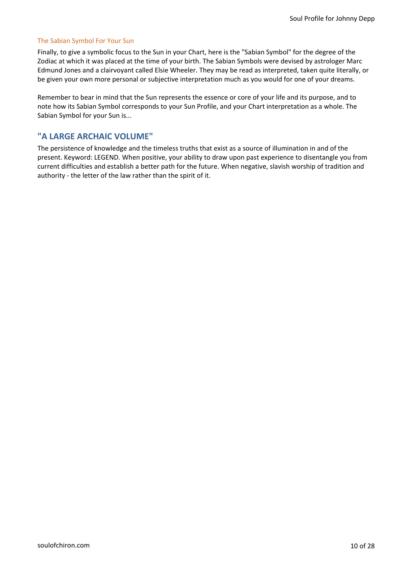### The Sabian Symbol For Your Sun

Finally, to give a symbolic focus to the Sun in your Chart, here is the "Sabian Symbol" for the degree of the Zodiac at which it was placed at the time of your birth. The Sabian Symbols were devised by astrologer Marc Edmund Jones and a clairvoyant called Elsie Wheeler. They may be read as interpreted, taken quite literally, or be given your own more personal or subjective interpretation much as you would for one of your dreams.

Remember to bear in mind that the Sun represents the essence or core of your life and its purpose, and to note how its Sabian Symbol corresponds to your Sun Profile, and your Chart interpretation as a whole. The Sabian Symbol for your Sun is...

### **"A LARGE ARCHAIC VOLUME"**

The persistence of knowledge and the timeless truths that exist as a source of illumination in and of the present. Keyword: LEGEND. When positive, your ability to draw upon past experience to disentangle you from current difficulties and establish a better path for the future. When negative, slavish worship of tradition and authority - the letter of the law rather than the spirit of it.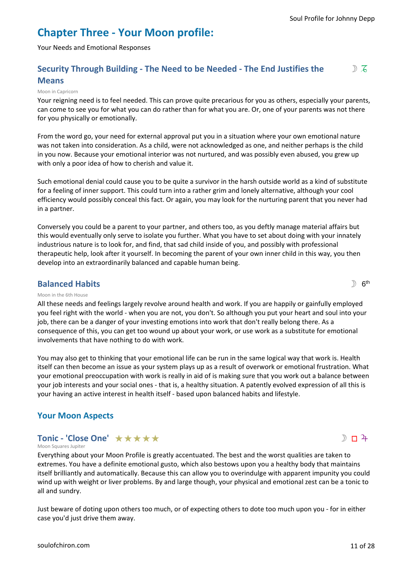# **Chapter Three - Your Moon profile:**

Your Needs and Emotional Responses

### **Security Through Building - The Need to be Needed - The End Justifies the Means**  $DZ$

### Moon in Capricorn

Your reigning need is to feel needed. This can prove quite precarious for you as others, especially your parents, can come to see you for what you can do rather than for what you are. Or, one of your parents was not there for you physically or emotionally.

From the word go, your need for external approval put you in a situation where your own emotional nature was not taken into consideration. As a child, were not acknowledged as one, and neither perhaps is the child in you now. Because your emotional interior was not nurtured, and was possibly even abused, you grew up with only a poor idea of how to cherish and value it.

Such emotional denial could cause you to be quite a survivor in the harsh outside world as a kind of substitute for a feeling of inner support. This could turn into a rather grim and lonely alternative, although your cool efficiency would possibly conceal this fact. Or again, you may look for the nurturing parent that you never had in a partner.

Conversely you could be a parent to your partner, and others too, as you deftly manage material affairs but this would eventually only serve to isolate you further. What you have to set about doing with your innately industrious nature is to look for, and find, that sad child inside of you, and possibly with professional therapeutic help, look after it yourself. In becoming the parent of your own inner child in this way, you then develop into an extraordinarily balanced and capable human being.

### **Balanced Habits**

### Moon in the 6th House

All these needs and feelings largely revolve around health and work. If you are happily or gainfully employed you feel right with the world - when you are not, you don't. So although you put your heart and soul into your job, there can be a danger of your investing emotions into work that don't really belong there. As a consequence of this, you can get too wound up about your work, or use work as a substitute for emotional involvements that have nothing to do with work.

You may also get to thinking that your emotional life can be run in the same logical way that work is. Health itself can then become an issue as your system plays up as a result of overwork or emotional frustration. What your emotional preoccupation with work is really in aid of is making sure that you work out a balance between your job interests and your social ones - that is, a healthy situation. A patently evolved expression of all this is your having an active interest in health itself - based upon balanced habits and lifestyle.

# **Your Moon Aspects**

# **Tonic - 'Close One'** ★★★★★

Moon Squares Jupiter

Everything about your Moon Profile is greatly accentuated. The best and the worst qualities are taken to extremes. You have a definite emotional gusto, which also bestows upon you a healthy body that maintains itself brilliantly and automatically. Because this can allow you to overindulge with apparent impunity you could wind up with weight or liver problems. By and large though, your physical and emotional zest can be a tonic to all and sundry.

Just beware of doting upon others too much, or of expecting others to dote too much upon you - for in either case you'd just drive them away.

 $D$  6<sup>th</sup>

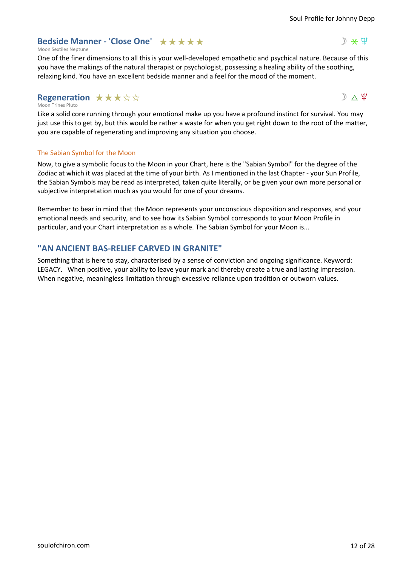# **Bedside Manner - 'Close One'**  $\star \star \star \star \star$

### Moon Sextiles Neptune

One of the finer dimensions to all this is your well-developed empathetic and psychical nature. Because of this you have the makings of the natural therapist or psychologist, possessing a healing ability of the soothing, relaxing kind. You have an excellent bedside manner and a feel for the mood of the moment.

# **Regeneration ★★★☆☆**

### Moon Trines Pluto

Like a solid core running through your emotional make up you have a profound instinct for survival. You may just use this to get by, but this would be rather a waste for when you get right down to the root of the matter, you are capable of regenerating and improving any situation you choose.

### The Sabian Symbol for the Moon

Now, to give a symbolic focus to the Moon in your Chart, here is the "Sabian Symbol" for the degree of the Zodiac at which it was placed at the time of your birth. As I mentioned in the last Chapter - your Sun Profile, the Sabian Symbols may be read as interpreted, taken quite literally, or be given your own more personal or subjective interpretation much as you would for one of your dreams.

Remember to bear in mind that the Moon represents your unconscious disposition and responses, and your emotional needs and security, and to see how its Sabian Symbol corresponds to your Moon Profile in particular, and your Chart interpretation as a whole. The Sabian Symbol for your Moon is...

# **"AN ANCIENT BAS-RELIEF CARVED IN GRANITE"**

Something that is here to stay, characterised by a sense of conviction and ongoing significance. Keyword: LEGACY. When positive, your ability to leave your mark and thereby create a true and lasting impression. When negative, meaningless limitation through excessive reliance upon tradition or outworn values.



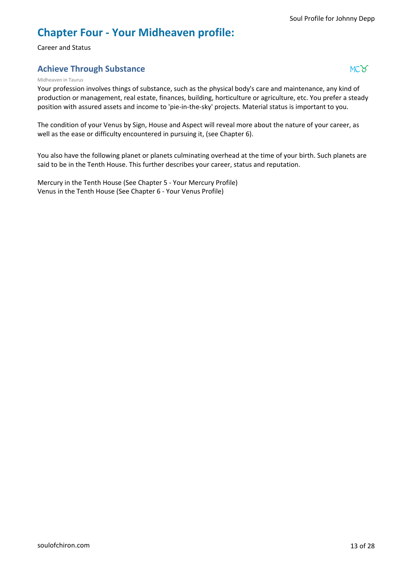# **Chapter Four - Your Midheaven profile:**

Career and Status

# **Achieve Through Substance** +2 and 2 and 2 and 2 and 2 and 2 and 2 and 2 and 2 and 2 and 2 and 2 and 2 and 2 and 2 and 2 and 2 and 2 and 2 and 2 and 2 and 2 and 2 and 2 and 2 and 2 and 2 and 2 and 2 and 2 and 2 and 2 and 2

### Midheaven in Taurus

Your profession involves things of substance, such as the physical body's care and maintenance, any kind of production or management, real estate, finances, building, horticulture or agriculture, etc. You prefer a steady position with assured assets and income to 'pie-in-the-sky' projects. Material status is important to you.

The condition of your Venus by Sign, House and Aspect will reveal more about the nature of your career, as well as the ease or difficulty encountered in pursuing it, (see Chapter 6).

You also have the following planet or planets culminating overhead at the time of your birth. Such planets are said to be in the Tenth House. This further describes your career, status and reputation.

Mercury in the Tenth House (See Chapter 5 - Your Mercury Profile) Venus in the Tenth House (See Chapter 6 - Your Venus Profile)

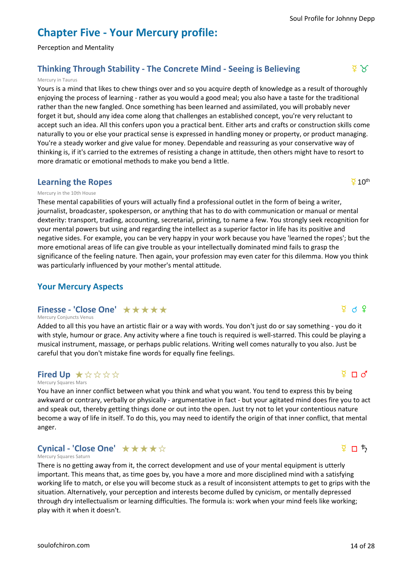# **Chapter Five - Your Mercury profile:**

Perception and Mentality

# **Thinking Through Stability - The Concrete Mind - Seeing is Believing**  $\frac{Q}{2}$  **of**  $\frac{Q}{2}$

### Mercury in Taurus

Yours is a mind that likes to chew things over and so you acquire depth of knowledge as a result of thoroughly enjoying the process of learning - rather as you would a good meal; you also have a taste for the traditional rather than the new fangled. Once something has been learned and assimilated, you will probably never forget it but, should any idea come along that challenges an established concept, you're very reluctant to accept such an idea. All this confers upon you a practical bent. Either arts and crafts or construction skills come naturally to you or else your practical sense is expressed in handling money or property, or product managing. You're a steady worker and give value for money. Dependable and reassuring as your conservative way of thinking is, if it's carried to the extremes of resisting a change in attitude, then others might have to resort to more dramatic or emotional methods to make you bend a little.

### **Learning the Ropes**

### Mercury in the 10th House

These mental capabilities of yours will actually find a professional outlet in the form of being a writer, journalist, broadcaster, spokesperson, or anything that has to do with communication or manual or mental dexterity: transport, trading, accounting, secretarial, printing, to name a few. You strongly seek recognition for your mental powers but using and regarding the intellect as a superior factor in life has its positive and negative sides. For example, you can be very happy in your work because you have 'learned the ropes'; but the more emotional areas of life can give trouble as your intellectually dominated mind fails to grasp the significance of the feeling nature. Then again, your profession may even cater for this dilemma. How you think was particularly influenced by your mother's mental attitude.

# **Your Mercury Aspects**

## **Finesse - 'Close One'** ★★★★★

#### Mercury Conjuncts Venus

Added to all this you have an artistic flair or a way with words. You don't just do or say something - you do it with style, humour or grace. Any activity where a fine touch is required is well-starred. This could be playing a musical instrument, massage, or perhaps public relations. Writing well comes naturally to you also. Just be careful that you don't mistake fine words for equally fine feelings.

# **Fired Up**  $\star$  $\forall$  $\forall$  $\forall$   $\forall$

Mercury Squares Mars

You have an inner conflict between what you think and what you want. You tend to express this by being awkward or contrary, verbally or physically - argumentative in fact - but your agitated mind does fire you to act and speak out, thereby getting things done or out into the open. Just try not to let your contentious nature become a way of life in itself. To do this, you may need to identify the origin of that inner conflict, that mental anger.

# **Cynical - 'Close One'** ★★★★☆

#### Mercury Squares Saturn

There is no getting away from it, the correct development and use of your mental equipment is utterly important. This means that, as time goes by, you have a more and more disciplined mind with a satisfying working life to match, or else you will become stuck as a result of inconsistent attempts to get to grips with the situation. Alternatively, your perception and interests become dulled by cynicism, or mentally depressed through dry intellectualism or learning difficulties. The formula is: work when your mind feels like working; play with it when it doesn't.

 $\overline{2}$  10<sup>th</sup>

 $\Sigma \ \sqcap \ \mathcal{Q}$ 

# $\frac{5}{4}$  n  $\frac{1}{2}$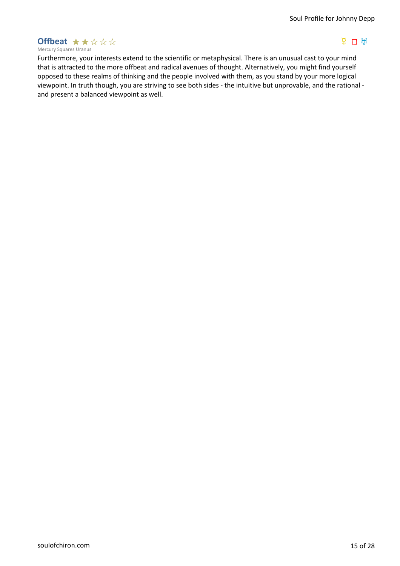### Mercury Squares Uranus **Offbeat ★★☆☆☆**

# $\overline{P}$  D  $\overline{H}$

Furthermore, your interests extend to the scientific or metaphysical. There is an unusual cast to your mind that is attracted to the more offbeat and radical avenues of thought. Alternatively, you might find yourself opposed to these realms of thinking and the people involved with them, as you stand by your more logical viewpoint. In truth though, you are striving to see both sides - the intuitive but unprovable, and the rational and present a balanced viewpoint as well.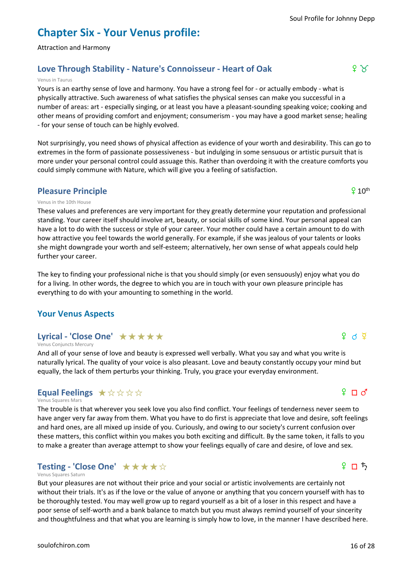# **Chapter Six - Your Venus profile:**

Attraction and Harmony

# **Love Through Stability - Nature's Connoisseur - Heart of Oak f 2 3 and 5 and 5 and 6 and 6 and 6 and 6 and 6 and 6 and 6 and 6 and 6 and 6 and 6 and 6 and 6 and 6 and 6 and 6 and 6 and 6 and 6 and 6 and 6 and 6 and 6 an**

### Venus in Taurus

Yours is an earthy sense of love and harmony. You have a strong feel for - or actually embody - what is physically attractive. Such awareness of what satisfies the physical senses can make you successful in a number of areas: art - especially singing, or at least you have a pleasant-sounding speaking voice; cooking and other means of providing comfort and enjoyment; consumerism - you may have a good market sense; healing - for your sense of touch can be highly evolved.

Not surprisingly, you need shows of physical affection as evidence of your worth and desirability. This can go to extremes in the form of passionate possessiveness - but indulging in some sensuous or artistic pursuit that is more under your personal control could assuage this. Rather than overdoing it with the creature comforts you could simply commune with Nature, which will give you a feeling of satisfaction.

# **Pleasure Principle**

### Venus in the 10th House

These values and preferences are very important for they greatly determine your reputation and professional standing. Your career itself should involve art, beauty, or social skills of some kind. Your personal appeal can have a lot to do with the success or style of your career. Your mother could have a certain amount to do with how attractive you feel towards the world generally. For example, if she was jealous of your talents or looks she might downgrade your worth and self-esteem; alternatively, her own sense of what appeals could help further your career.

The key to finding your professional niche is that you should simply (or even sensuously) enjoy what you do for a living. In other words, the degree to which you are in touch with your own pleasure principle has everything to do with your amounting to something in the world.

# **Your Venus Aspects**

# Lyrical - 'Close One' ★★★★★

Venus Conjuncts Mercury

And all of your sense of love and beauty is expressed well verbally. What you say and what you write is naturally lyrical. The quality of your voice is also pleasant. Love and beauty constantly occupy your mind but equally, the lack of them perturbs your thinking. Truly, you grace your everyday environment.

# **Equal Feelings**  $\star \forall \forall \forall \forall$

### Venus Squares Mars

The trouble is that wherever you seek love you also find conflict. Your feelings of tenderness never seem to have anger very far away from them. What you have to do first is appreciate that love and desire, soft feelings and hard ones, are all mixed up inside of you. Curiously, and owing to our society's current confusion over these matters, this conflict within you makes you both exciting and difficult. By the same token, it falls to you to make a greater than average attempt to show your feelings equally of care and desire, of love and sex.

# **Testing - 'Close One'** ★★★★☆

#### Venus Squares Saturn

But your pleasures are not without their price and your social or artistic involvements are certainly not without their trials. It's as if the love or the value of anyone or anything that you concern yourself with has to be thoroughly tested. You may well grow up to regard yourself as a bit of a loser in this respect and have a poor sense of self-worth and a bank balance to match but you must always remind yourself of your sincerity and thoughtfulness and that what you are learning is simply how to love, in the manner I have described here.

# $\Omega \square$

 $9$  D  $5$ 

### $9.10<sup>th</sup>$

# $9$  d  $\frac{8}{9}$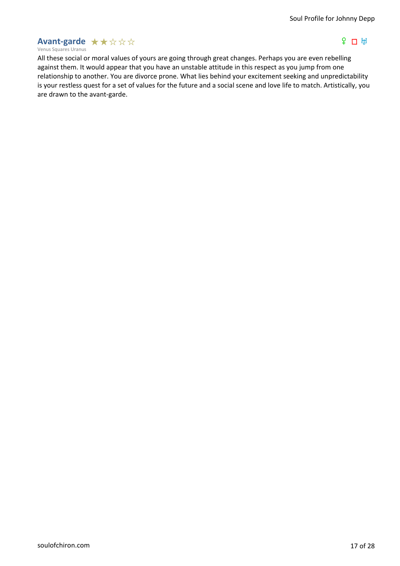# **Avant-garde**  $\star \star \mathop{\star} \mathop{\star} \mathop{\star}$

### Venus Squares Uranus

# $P \cap H$

All these social or moral values of yours are going through great changes. Perhaps you are even rebelling against them. It would appear that you have an unstable attitude in this respect as you jump from one relationship to another. You are divorce prone. What lies behind your excitement seeking and unpredictability is your restless quest for a set of values for the future and a social scene and love life to match. Artistically, you are drawn to the avant-garde.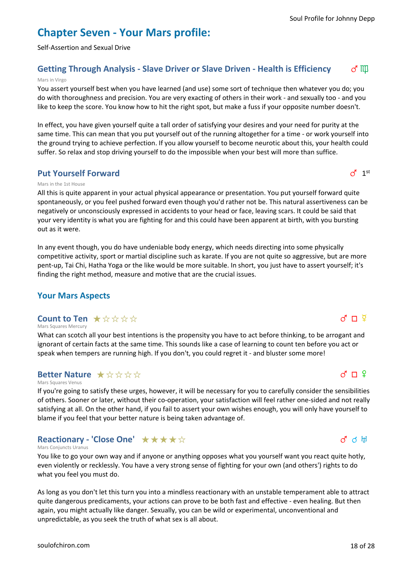# **Chapter Seven - Your Mars profile:**

Self-Assertion and Sexual Drive

# **Getting Through Analysis - Slave Driver or Slave Driven - Health is Efficiency** of  $\mathbb{I}$

### Mars in Virgo

You assert yourself best when you have learned (and use) some sort of technique then whatever you do; you do with thoroughness and precision. You are very exacting of others in their work - and sexually too - and you like to keep the score. You know how to hit the right spot, but make a fuss if your opposite number doesn't.

In effect, you have given yourself quite a tall order of satisfying your desires and your need for purity at the same time. This can mean that you put yourself out of the running altogether for a time - or work yourself into the ground trying to achieve perfection. If you allow yourself to become neurotic about this, your health could suffer. So relax and stop driving yourself to do the impossible when your best will more than suffice.

# **Put Yourself Forward**

### Mars in the 1st House

All this is quite apparent in your actual physical appearance or presentation. You put yourself forward quite spontaneously, or you feel pushed forward even though you'd rather not be. This natural assertiveness can be negatively or unconsciously expressed in accidents to your head or face, leaving scars. It could be said that your very identity is what you are fighting for and this could have been apparent at birth, with you bursting out as it were.

In any event though, you do have undeniable body energy, which needs directing into some physically competitive activity, sport or martial discipline such as karate. If you are not quite so aggressive, but are more pent-up, Tai Chi, Hatha Yoga or the like would be more suitable. In short, you just have to assert yourself; it's finding the right method, measure and motive that are the crucial issues.

# **Your Mars Aspects**

#### Mars Squares Mercury **Count to Ten ★☆☆☆☆**

What can scotch all your best intentions is the propensity you have to act before thinking, to be arrogant and ignorant of certain facts at the same time. This sounds like a case of learning to count ten before you act or speak when tempers are running high. If you don't, you could regret it - and bluster some more!

# **Better Nature**  $\star$   $\forall x$   $\forall x$   $\forall x$

#### Mars Squares Venus

If you're going to satisfy these urges, however, it will be necessary for you to carefully consider the sensibilities of others. Sooner or later, without their co-operation, your satisfaction will feel rather one-sided and not really satisfying at all. On the other hand, if you fail to assert your own wishes enough, you will only have yourself to blame if you feel that your better nature is being taken advantage of.

# **Reactionary - 'Close One'** ★★★★☆

### Mars Conjuncts Uranus

You like to go your own way and if anyone or anything opposes what you yourself want you react quite hotly, even violently or recklessly. You have a very strong sense of fighting for your own (and others') rights to do what you feel you must do.

As long as you don't let this turn you into a mindless reactionary with an unstable temperament able to attract quite dangerous predicaments, your actions can prove to be both fast and effective - even healing. But then again, you might actually like danger. Sexually, you can be wild or experimental, unconventional and unpredictable, as you seek the truth of what sex is all about.

# $d \Pi$  ?

# $d$  d  $\mathbb{H}$



 $d \Pi$   $\Phi$ 

# $\sigma$ <sup>1st</sup>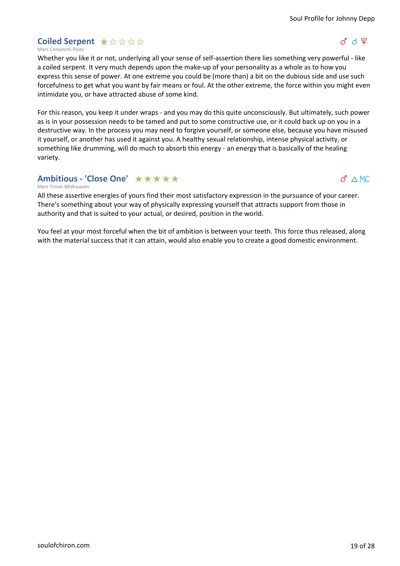$g \circ g$ 

# **Coiled Serpent**  $\star$  **☆ ☆ ☆ ☆**

Mars Conjuncts Pluto

Whether you like it or not, underlying all your sense of self-assertion there lies something very powerful - like a coiled serpent. It very much depends upon the make-up of your personality as a whole as to how you express this sense of power. At one extreme you could be (more than) a bit on the dubious side and use such forcefulness to get what you want by fair means or foul. At the other extreme, the force within you might even intimidate you, or have attracted abuse of some kind.

For this reason, you keep it under wraps - and you may do this quite unconsciously. But ultimately, such power as is in your possession needs to be tamed and put to some constructive use, or it could back up on you in a destructive way. In the process you may need to forgive yourself, or someone else, because you have misused it yourself, or another has used it against you. A healthy sexual relationship, intense physical activity, or something like drumming, will do much to absorb this energy - an energy that is basically of the healing variety.

# **Ambitious - 'Close One'** ★★★★★

 $d \wedge MC$ 

Mars Trines Midheaven

All these assertive energies of yours find their most satisfactory expression in the pursuance of your career. There's something about your way of physically expressing yourself that attracts support from those in authority and that is suited to your actual, or desired, position in the world.

You feel at your most forceful when the bit of ambition is between your teeth. This force thus released, along with the material success that it can attain, would also enable you to create a good domestic environment.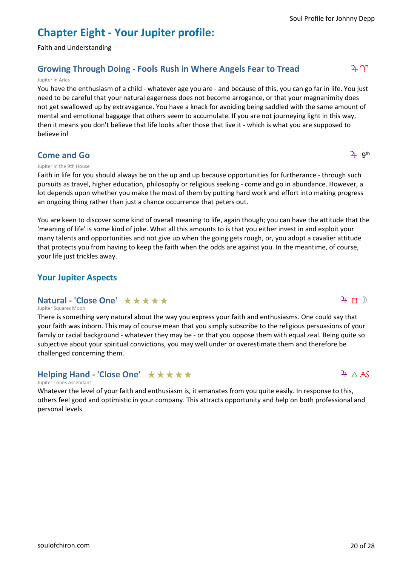# **Chapter Eight - Your Jupiter profile:**

Faith and Understanding

# **Growing Through Doing - Fools Rush in Where Angels Fear to Tread**  $4 \gamma$

### Jupiter in Aries

You have the enthusiasm of a child - whatever age you are - and because of this, you can go far in life. You just need to be careful that your natural eagerness does not become arrogance, or that your magnanimity does not get swallowed up by extravagance. You have a knack for avoiding being saddled with the same amount of mental and emotional baggage that others seem to accumulate. If you are not journeying light in this way, then it means you don't believe that life looks after those that live it - which is what you are supposed to believe in!

# **Come and Go**

### Jupiter in the 9th House

Faith in life for you should always be on the up and up because opportunities for furtherance - through such pursuits as travel, higher education, philosophy or religious seeking - come and go in abundance. However, a lot depends upon whether you make the most of them by putting hard work and effort into making progress an ongoing thing rather than just a chance occurrence that peters out.

You are keen to discover some kind of overall meaning to life, again though; you can have the attitude that the 'meaning of life' is some kind of joke. What all this amounts to is that you either invest in and exploit your many talents and opportunities and not give up when the going gets rough, or, you adopt a cavalier attitude that protects you from having to keep the faith when the odds are against you. In the meantime, of course, your life just trickles away.

# **Your Jupiter Aspects**

# **Natural - 'Close One'** ★★★★★

### Jupiter Squares Moon

There is something very natural about the way you express your faith and enthusiasms. One could say that your faith was inborn. This may of course mean that you simply subscribe to the religious persuasions of your family or racial background - whatever they may be - or that you oppose them with equal zeal. Being quite so subjective about your spiritual convictions, you may well under or overestimate them and therefore be challenged concerning them.

# Helping Hand - 'Close One' **★★★★**★

### Jupiter Trines Ascendant

Whatever the level of your faith and enthusiasm is, it emanates from you quite easily. In response to this, others feel good and optimistic in your company. This attracts opportunity and help on both professional and personal levels.



 $4 \square$ 

 $2<sub>+</sub>$  gth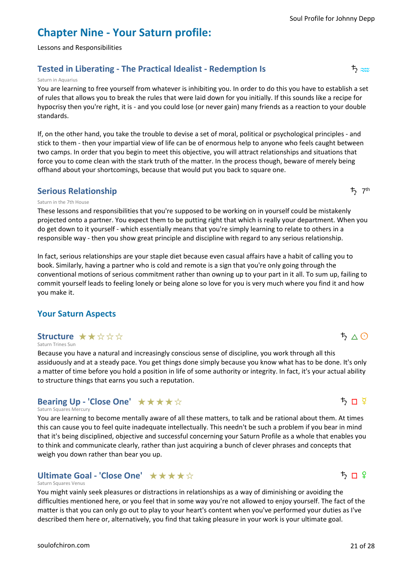# **Chapter Nine - Your Saturn profile:**

Lessons and Responsibilities

# **Tested in Liberating - The Practical Idealist - Redemption Is**  $\uparrow$   $\sim$   $\uparrow$

### Saturn in Aquarius

You are learning to free yourself from whatever is inhibiting you. In order to do this you have to establish a set of rules that allows you to break the rules that were laid down for you initially. If this sounds like a recipe for hypocrisy then you're right, it is - and you could lose (or never gain) many friends as a reaction to your double standards.

If, on the other hand, you take the trouble to devise a set of moral, political or psychological principles - and stick to them - then your impartial view of life can be of enormous help to anyone who feels caught between two camps. In order that you begin to meet this objective, you will attract relationships and situations that force you to come clean with the stark truth of the matter. In the process though, beware of merely being offhand about your shortcomings, because that would put you back to square one.

# **Serious Relationship**

### Saturn in the 7th House

These lessons and responsibilities that you're supposed to be working on in yourself could be mistakenly projected onto a partner. You expect them to be putting right that which is really your department. When you do get down to it yourself - which essentially means that you're simply learning to relate to others in a responsible way - then you show great principle and discipline with regard to any serious relationship.

In fact, serious relationships are your staple diet because even casual affairs have a habit of calling you to book. Similarly, having a partner who is cold and remote is a sign that you're only going through the conventional motions of serious commitment rather than owning up to your part in it all. To sum up, failing to commit yourself leads to feeling lonely or being alone so love for you is very much where you find it and how you make it.

# **Your Saturn Aspects**

# **Structure ★★☆☆☆**

### Saturn Trines Sun

Because you have a natural and increasingly conscious sense of discipline, you work through all this assiduously and at a steady pace. You get things done simply because you know what has to be done. It's only a matter of time before you hold a position in life of some authority or integrity. In fact, it's your actual ability to structure things that earns you such a reputation.

# **Bearing Up - 'Close One'** ★★★★☆

### Saturn Squares Mercury

You are learning to become mentally aware of all these matters, to talk and be rational about them. At times this can cause you to feel quite inadequate intellectually. This needn't be such a problem if you bear in mind that it's being disciplined, objective and successful concerning your Saturn Profile as a whole that enables you to think and communicate clearly, rather than just acquiring a bunch of clever phrases and concepts that weigh you down rather than bear you up.

# **Ultimate Goal - 'Close One'** ★ ★ ★ ★ ☆

### Saturn Squares Venus

You might vainly seek pleasures or distractions in relationships as a way of diminishing or avoiding the difficulties mentioned here, or you feel that in some way you're not allowed to enjoy yourself. The fact of the matter is that you can only go out to play to your heart's content when you've performed your duties as I've described them here or, alternatively, you find that taking pleasure in your work is your ultimate goal.



 $5 \pi$  ?

 $5\wedge$   $\odot$ 



 $t$ <sub>7<sup>th</sup></sub>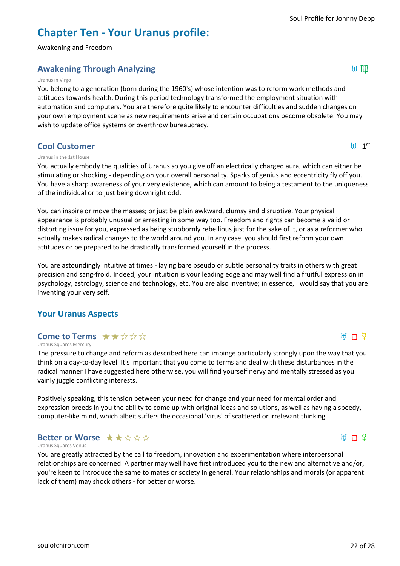# **Chapter Ten - Your Uranus profile:**

Awakening and Freedom

# **Awakening Through Analyzing** K 6

### Uranus in Virgo

You belong to a generation (born during the 1960's) whose intention was to reform work methods and attitudes towards health. During this period technology transformed the employment situation with automation and computers. You are therefore quite likely to encounter difficulties and sudden changes on your own employment scene as new requirements arise and certain occupations become obsolete. You may wish to update office systems or overthrow bureaucracy.

### **Cool Customer**

### $H$  1st

### Uranus in the 1st House

You actually embody the qualities of Uranus so you give off an electrically charged aura, which can either be stimulating or shocking - depending on your overall personality. Sparks of genius and eccentricity fly off you. You have a sharp awareness of your very existence, which can amount to being a testament to the uniqueness of the individual or to just being downright odd.

You can inspire or move the masses; or just be plain awkward, clumsy and disruptive. Your physical appearance is probably unusual or arresting in some way too. Freedom and rights can become a valid or distorting issue for you, expressed as being stubbornly rebellious just for the sake of it, or as a reformer who actually makes radical changes to the world around you. In any case, you should first reform your own attitudes or be prepared to be drastically transformed yourself in the process.

You are astoundingly intuitive at times - laying bare pseudo or subtle personality traits in others with great precision and sang-froid. Indeed, your intuition is your leading edge and may well find a fruitful expression in psychology, astrology, science and technology, etc. You are also inventive; in essence, I would say that you are inventing your very self.

# **Your Uranus Aspects**

# **Come to Terms**  $\star \star \star \star \star \star$

Uranus Squares Mercury

The pressure to change and reform as described here can impinge particularly strongly upon the way that you think on a day-to-day level. It's important that you come to terms and deal with these disturbances in the radical manner I have suggested here otherwise, you will find yourself nervy and mentally stressed as you vainly juggle conflicting interests.

Positively speaking, this tension between your need for change and your need for mental order and expression breeds in you the ability to come up with original ideas and solutions, as well as having a speedy, computer-like mind, which albeit suffers the occasional 'virus' of scattered or irrelevant thinking.

### Uranus Squares Venus **Better or Worse**  $\star \star \star \star \star \star$

You are greatly attracted by the call to freedom, innovation and experimentation where interpersonal relationships are concerned. A partner may well have first introduced you to the new and alternative and/or, you're keen to introduce the same to mates or society in general. Your relationships and morals (or apparent lack of them) may shock others - for better or worse.

 $H \Box$  ?

 $H \nightharpoonup \tilde{Z}$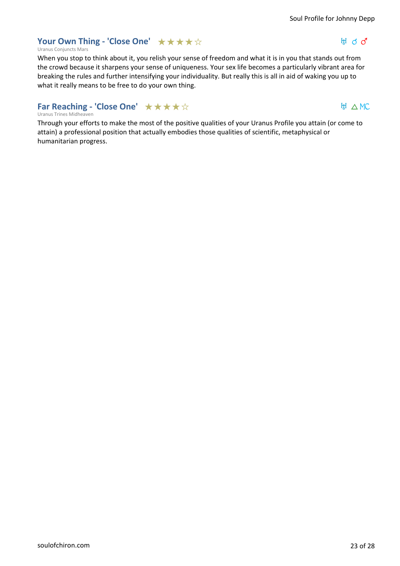# **Your Own Thing - 'Close One'** ★★★★☆

### Uranus Conjuncts Mars

When you stop to think about it, you relish your sense of freedom and what it is in you that stands out from the crowd because it sharpens your sense of uniqueness. Your sex life becomes a particularly vibrant area for breaking the rules and further intensifying your individuality. But really this is all in aid of waking you up to what it really means to be free to do your own thing.

# **Far Reaching - 'Close One'** ★★★★☆

### Uranus Trines Midheaven

Through your efforts to make the most of the positive qualities of your Uranus Profile you attain (or come to attain) a professional position that actually embodies those qualities of scientific, metaphysical or humanitarian progress.

# $H d d$

H △MC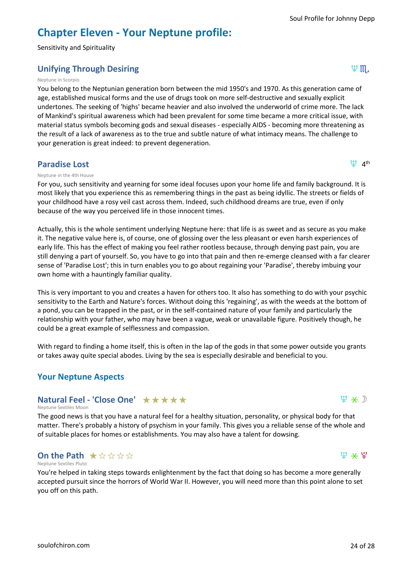# **Chapter Eleven - Your Neptune profile:**

Sensitivity and Spirituality

# **Unifying Through Desiring latter and the set of the set of the set of the set of the set of the set of the set o**

### Neptune in Scorpio

You belong to the Neptunian generation born between the mid 1950's and 1970. As this generation came of age, established musical forms and the use of drugs took on more self-destructive and sexually explicit undertones. The seeking of 'highs' became heavier and also involved the underworld of crime more. The lack of Mankind's spiritual awareness which had been prevalent for some time became a more critical issue, with material status symbols becoming gods and sexual diseases - especially AIDS - becoming more threatening as the result of a lack of awareness as to the true and subtle nature of what intimacy means. The challenge to your generation is great indeed: to prevent degeneration.

### **Paradise Lost**

### Neptune in the 4th House

For you, such sensitivity and yearning for some ideal focuses upon your home life and family background. It is most likely that you experience this as remembering things in the past as being idyllic. The streets or fields of your childhood have a rosy veil cast across them. Indeed, such childhood dreams are true, even if only because of the way you perceived life in those innocent times.

Actually, this is the whole sentiment underlying Neptune here: that life is as sweet and as secure as you make it. The negative value here is, of course, one of glossing over the less pleasant or even harsh experiences of early life. This has the effect of making you feel rather rootless because, through denying past pain, you are still denying a part of yourself. So, you have to go into that pain and then re-emerge cleansed with a far clearer sense of 'Paradise Lost'; this in turn enables you to go about regaining your 'Paradise', thereby imbuing your own home with a hauntingly familiar quality.

This is very important to you and creates a haven for others too. It also has something to do with your psychic sensitivity to the Earth and Nature's forces. Without doing this 'regaining', as with the weeds at the bottom of a pond, you can be trapped in the past, or in the self-contained nature of your family and particularly the relationship with your father, who may have been a vague, weak or unavailable figure. Positively though, he could be a great example of selflessness and compassion.

With regard to finding a home itself, this is often in the lap of the gods in that some power outside you grants or takes away quite special abodes. Living by the sea is especially desirable and beneficial to you.

# **Your Neptune Aspects**

# **Natural Feel - 'Close One'** ★★★★★

Neptune Sextiles Moon

The good news is that you have a natural feel for a healthy situation, personality, or physical body for that matter. There's probably a history of psychism in your family. This gives you a reliable sense of the whole and of suitable places for homes or establishments. You may also have a talent for dowsing.

#### Neptune Sextiles Pluto **On the Path**  $\star$  **☆ ☆ ☆ ☆**

You're helped in taking steps towards enlightenment by the fact that doing so has become a more generally accepted pursuit since the horrors of World War II. However, you will need more than this point alone to set you off on this path.



 $\uplus$   $\star$   $\uplus$ 



 $\Psi$  4<sup>th</sup>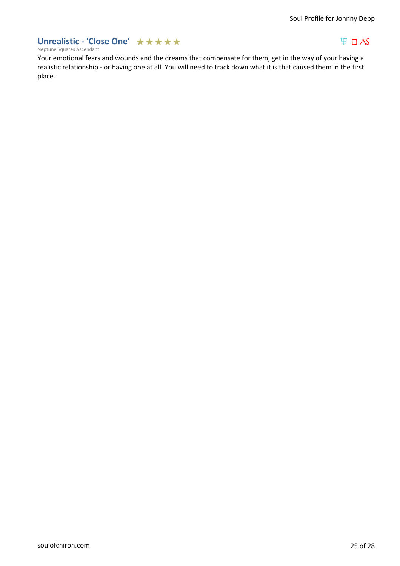# Unrealistic - 'Close One' ★★★★★

# $\Psi$  DAS

Neptune Squares Ascendant

Your emotional fears and wounds and the dreams that compensate for them, get in the way of your having a realistic relationship - or having one at all. You will need to track down what it is that caused them in the first place.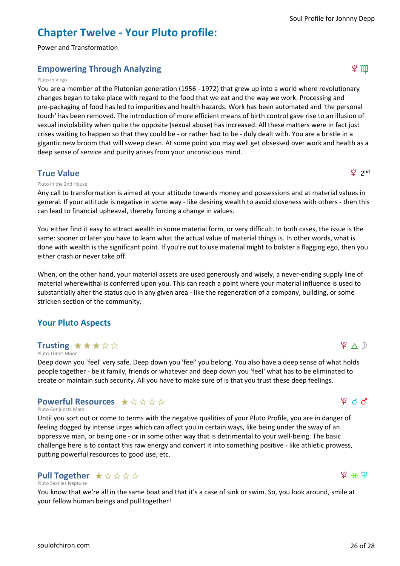# **Chapter Twelve - Your Pluto profile:**

Power and Transformation

# **Empowering Through Analyzing intervalse and the set of the set of the set of the set of the set of the set of the set of the set of the set of the set of the set of the set of the set of the set of the set of the set of**

### Pluto in Virgo

You are a member of the Plutonian generation (1956 - 1972) that grew up into a world where revolutionary changes began to take place with regard to the food that we eat and the way we work. Processing and pre-packaging of food has led to impurities and health hazards. Work has been automated and 'the personal touch' has been removed. The introduction of more efficient means of birth control gave rise to an illusion of sexual inviolability when quite the opposite (sexual abuse) has increased. All these matters were in fact just crises waiting to happen so that they could be - or rather had to be - duly dealt with. You are a bristle in a gigantic new broom that will sweep clean. At some point you may well get obsessed over work and health as a deep sense of service and purity arises from your unconscious mind.

### **True Value**

### Pluto in the 2nd House

Any call to transformation is aimed at your attitude towards money and possessions and at material values in general. If your attitude is negative in some way - like desiring wealth to avoid closeness with others - then this can lead to financial upheaval, thereby forcing a change in values.

You either find it easy to attract wealth in some material form, or very difficult. In both cases, the issue is the same: sooner or later you have to learn what the actual value of material things is. In other words, what is done with wealth is the significant point. If you're out to use material might to bolster a flagging ego, then you either crash or never take off.

When, on the other hand, your material assets are used generously and wisely, a never-ending supply line of material wherewithal is conferred upon you. This can reach a point where your material influence is used to substantially alter the status quo in any given area - like the regeneration of a company, building, or some stricken section of the community.

# **Your Pluto Aspects**

# **Trusting**  $\star \star \star \star \otimes \otimes$

Pluto Trines Moon

Deep down you 'feel' very safe. Deep down you 'feel' you belong. You also have a deep sense of what holds people together - be it family, friends or whatever and deep down you 'feel' what has to be eliminated to create or maintain such security. All you have to make sure of is that you trust these deep feelings.

# **Powerful Resources**  $\star$  **☆ ☆ ☆ ☆**

#### Pluto Conjuncts Mars

Until you sort out or come to terms with the negative qualities of your Pluto Profile, you are in danger of feeling dogged by intense urges which can affect you in certain ways, like being under the sway of an oppressive man, or being one - or in some other way that is detrimental to your well-being. The basic challenge here is to contact this raw energy and convert it into something positive - like athletic prowess, putting powerful resources to good use, etc.

#### Pluto Sextiles Neptune **Pull Together**  $\star \, \forall \, \forall \, \forall \, \forall$

You know that we're all in the same boat and that it's a case of sink or swim. So, you look around, smile at your fellow human beings and pull together!

# $4$  d  $3$

 $\mathfrak{P} \wedge \mathfrak{D}$ 

 $92$  nd

# $\mathfrak{P} \times \mathfrak{P}$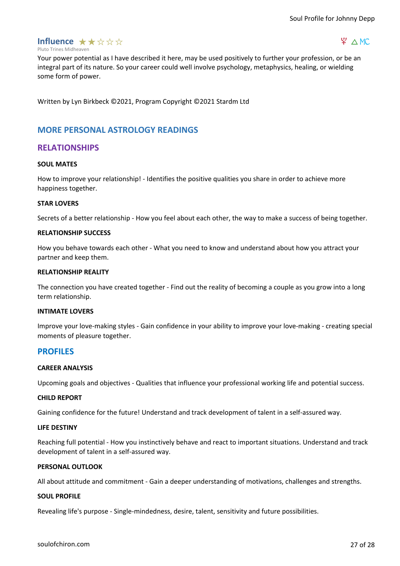

### $4^{\circ}$   $\wedge$  MC

Pluto Trines Midheaven

Your power potential as I have described it here, may be used positively to further your profession, or be an integral part of its nature. So your career could well involve psychology, metaphysics, healing, or wielding some form of power.

Written by Lyn Birkbeck ©2021, Program Copyright ©2021 Stardm Ltd

# **MORE PERSONAL ASTROLOGY READINGS**

### **RELATIONSHIPS**

### **SOUL MATES**

How to improve your relationship! - Identifies the positive qualities you share in order to achieve more happiness together.

### **STAR LOVERS**

Secrets of a better relationship - How you feel about each other, the way to make a success of being together.

### **RELATIONSHIP SUCCESS**

How you behave towards each other - What you need to know and understand about how you attract your partner and keep them.

### **RELATIONSHIP REALITY**

The connection you have created together - Find out the reality of becoming a couple as you grow into a long term relationship.

### **INTIMATE LOVERS**

Improve your love-making styles - Gain confidence in your ability to improve your love-making - creating special moments of pleasure together.

### **PROFILES**

### **CAREER ANALYSIS**

Upcoming goals and objectives - Qualities that influence your professional working life and potential success.

### **CHILD REPORT**

Gaining confidence for the future! Understand and track development of talent in a self-assured way.

### **LIFE DESTINY**

Reaching full potential - How you instinctively behave and react to important situations. Understand and track development of talent in a self-assured way.

### **PERSONAL OUTLOOK**

All about attitude and commitment - Gain a deeper understanding of motivations, challenges and strengths.

### **SOUL PROFILE**

Revealing life's purpose - Single-mindedness, desire, talent, sensitivity and future possibilities.